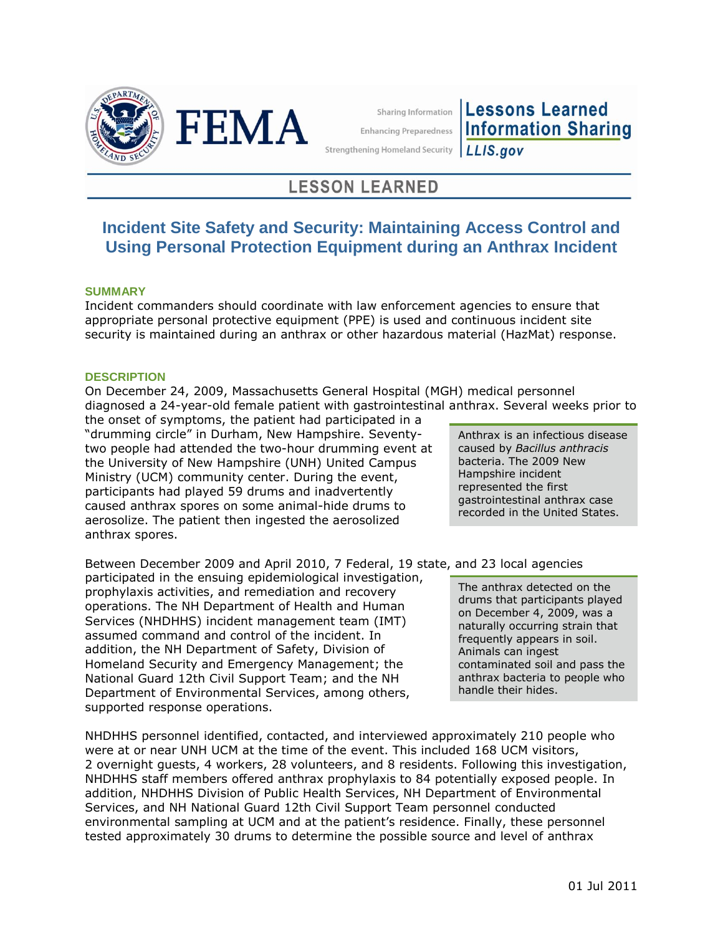



**Sharing Information** 

**Lessons Learned Information Sharing Enhancing Preparedness** LLIS.gov

**Strengthening Homeland Security** 

# **LESSON LEARNED**

# **Incident Site Safety and Security: Maintaining Access Control and Using Personal Protection Equipment during an Anthrax Incident**

## **SUMMARY**

Incident commanders should coordinate with law enforcement agencies to ensure that appropriate personal protective equipment (PPE) is used and continuous incident site security is maintained during an anthrax or other hazardous material (HazMat) response.

## **DESCRIPTION**

On December 24, 2009, Massachusetts General Hospital (MGH) medical personnel diagnosed a 24-year-old female patient with gastrointestinal anthrax. Several weeks prior to

the onset of symptoms, the patient had participated in a "drumming circle" in Durham, New Hampshire. Seventytwo people had attended the two-hour drumming event at the University of New Hampshire (UNH) United Campus Ministry (UCM) community center. During the event, participants had played 59 drums and inadvertently caused anthrax spores on some animal-hide drums to aerosolize. The patient then ingested the aerosolized anthrax spores.

Between December 2009 and April 2010, 7 Federal, 19 state, and 23 local agencies

participated in the ensuing epidemiological investigation, prophylaxis activities, and remediation and recovery operations. The NH Department of Health and Human Services (NHDHHS) incident management team (IMT) assumed command and control of the incident. In addition, the NH Department of Safety, Division of Homeland Security and Emergency Management; the National Guard 12th Civil Support Team; and the NH Department of Environmental Services, among others, supported response operations.

NHDHHS personnel identified, contacted, and interviewed approximately 210 people who were at or near UNH UCM at the time of the event. This included 168 UCM visitors, 2 overnight guests, 4 workers, 28 volunteers, and 8 residents. Following this investigation, NHDHHS staff members offered anthrax prophylaxis to 84 potentially exposed people. In addition, NHDHHS Division of Public Health Services, NH Department of Environmental Services, and NH National Guard 12th Civil Support Team personnel conducted environmental sampling at UCM and at the patient's residence. Finally, these personnel tested approximately 30 drums to determine the possible source and level of anthrax

Anthrax is an infectious disease caused by *Bacillus anthracis* bacteria. The 2009 New Hampshire incident represented the first gastrointestinal anthrax case recorded in the United States.

The anthrax detected on the drums that participants played on December 4, 2009, was a naturally occurring strain that frequently appears in soil. Animals can ingest contaminated soil and pass the anthrax bacteria to people who handle their hides.